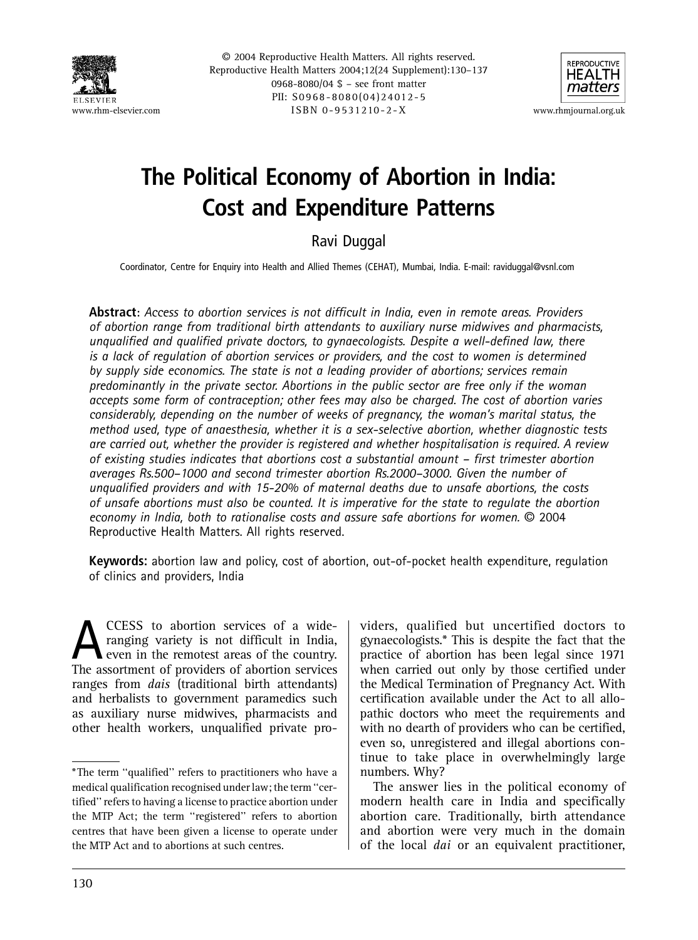

 $Q$  2004 Reproductive Health Matters. All rights reserved. Reproductive Health Matters 2004;12(24 Supplement):130–137 0968-8080/04 \$ – see front matter PII: S 0 9 6 8 - 8 0 8 0( 0 4) 2 4 01 2 - 5 www.rhm-elsevier.com ISBN 0-9531210-2-X www.rhmjournal.org.uk



# The Political Economy of Abortion in India: Cost and Expenditure Patterns

Ravi Duggal

Coordinator, Centre for Enquiry into Health and Allied Themes (CEHAT), Mumbai, India. E-mail: raviduggal@vsnl.com

Abstract: Access to abortion services is not difficult in India, even in remote areas. Providers of abortion range from traditional birth attendants to auxiliary nurse midwives and pharmacists, unqualified and qualified private doctors, to gynaecologists. Despite a well-defined law, there is a lack of regulation of abortion services or providers, and the cost to women is determined by supply side economics. The state is not a leading provider of abortions; services remain predominantly in the private sector. Abortions in the public sector are free only if the woman accepts some form of contraception; other fees may also be charged. The cost of abortion varies considerably, depending on the number of weeks of pregnancy, the woman's marital status, the method used, type of anaesthesia, whether it is a sex-selective abortion, whether diagnostic tests are carried out, whether the provider is registered and whether hospitalisation is required. A review of existing studies indicates that abortions cost a substantial amount – first trimester abortion averages Rs.500–1000 and second trimester abortion Rs.2000–3000. Given the number of unqualified providers and with 15-20% of maternal deaths due to unsafe abortions, the costs of unsafe abortions must also be counted. It is imperative for the state to regulate the abortion economy in India, both to rationalise costs and assure safe abortions for women.  $Q$  2004 Reproductive Health Matters. All rights reserved.

Keywords: abortion law and policy, cost of abortion, out-of-pocket health expenditure, regulation of clinics and providers, India

CCESS to abortion services of a wideranging variety is not difficult in India, even in the remotest areas of the country. The assortment of providers of abortion services ranges from *dais* (traditional birth attendants) and herbalists to government paramedics such as auxiliary nurse midwives, pharmacists and other health workers, unqualified private pro-

viders, qualified but uncertified doctors to gynaecologists.\* This is despite the fact that the practice of abortion has been legal since 1971 when carried out only by those certified under the Medical Termination of Pregnancy Act. With certification available under the Act to all allopathic doctors who meet the requirements and with no dearth of providers who can be certified, even so, unregistered and illegal abortions continue to take place in overwhelmingly large numbers. Why?

The answer lies in the political economy of modern health care in India and specifically abortion care. Traditionally, birth attendance and abortion were very much in the domain of the local dai or an equivalent practitioner,

<sup>\*</sup> The term ''qualified'' refers to practitioners who have a medical qualification recognised under law; the term ''certified'' refers to having a license to practice abortion under the MTP Act; the term ''registered'' refers to abortion centres that have been given a license to operate under the MTP Act and to abortions at such centres.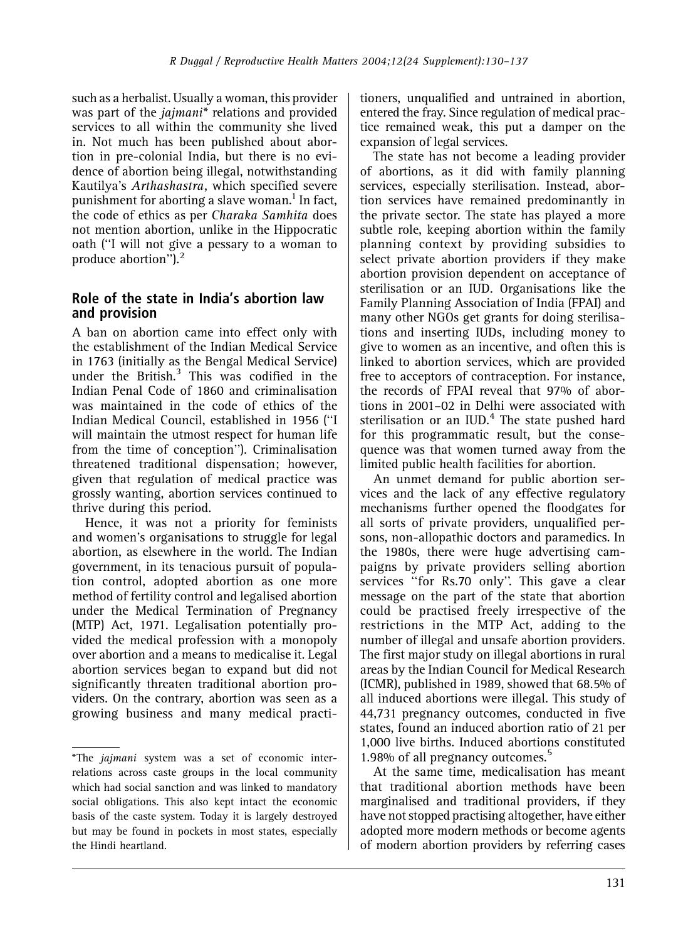such as a herbalist. Usually a woman, this provider was part of the *jajmani*<sup>\*</sup> relations and provided services to all within the community she lived in. Not much has been published about abortion in pre-colonial India, but there is no evidence of abortion being illegal, notwithstanding Kautilya's Arthashastra, which specified severe punishment for aborting a slave woman.<sup>1</sup> In fact, the code of ethics as per Charaka Samhita does not mention abortion, unlike in the Hippocratic oath (''I will not give a pessary to a woman to produce abortion'').<sup>2</sup>

## Role of the state in India's abortion law and provision

A ban on abortion came into effect only with the establishment of the Indian Medical Service in 1763 (initially as the Bengal Medical Service) under the British.<sup>3</sup> This was codified in the Indian Penal Code of 1860 and criminalisation was maintained in the code of ethics of the Indian Medical Council, established in 1956 (''I will maintain the utmost respect for human life from the time of conception''). Criminalisation threatened traditional dispensation; however, given that regulation of medical practice was grossly wanting, abortion services continued to thrive during this period.

Hence, it was not a priority for feminists and women's organisations to struggle for legal abortion, as elsewhere in the world. The Indian government, in its tenacious pursuit of population control, adopted abortion as one more method of fertility control and legalised abortion under the Medical Termination of Pregnancy (MTP) Act, 1971. Legalisation potentially provided the medical profession with a monopoly over abortion and a means to medicalise it. Legal abortion services began to expand but did not significantly threaten traditional abortion providers. On the contrary, abortion was seen as a growing business and many medical practitioners, unqualified and untrained in abortion, entered the fray. Since regulation of medical practice remained weak, this put a damper on the expansion of legal services.

The state has not become a leading provider of abortions, as it did with family planning services, especially sterilisation. Instead, abortion services have remained predominantly in the private sector. The state has played a more subtle role, keeping abortion within the family planning context by providing subsidies to select private abortion providers if they make abortion provision dependent on acceptance of sterilisation or an IUD. Organisations like the Family Planning Association of India (FPAI) and many other NGOs get grants for doing sterilisations and inserting IUDs, including money to give to women as an incentive, and often this is linked to abortion services, which are provided free to acceptors of contraception. For instance, the records of FPAI reveal that 97% of abortions in 2001–02 in Delhi were associated with sterilisation or an IUD. $4$  The state pushed hard for this programmatic result, but the consequence was that women turned away from the limited public health facilities for abortion.

An unmet demand for public abortion services and the lack of any effective regulatory mechanisms further opened the floodgates for all sorts of private providers, unqualified persons, non-allopathic doctors and paramedics. In the 1980s, there were huge advertising campaigns by private providers selling abortion services ''for Rs.70 only''. This gave a clear message on the part of the state that abortion could be practised freely irrespective of the restrictions in the MTP Act, adding to the number of illegal and unsafe abortion providers. The first major study on illegal abortions in rural areas by the Indian Council for Medical Research (ICMR), published in 1989, showed that 68.5% of all induced abortions were illegal. This study of 44,731 pregnancy outcomes, conducted in five states, found an induced abortion ratio of 21 per 1,000 live births. Induced abortions constituted 1.98% of all pregnancy outcomes.<sup>5</sup>

At the same time, medicalisation has meant that traditional abortion methods have been marginalised and traditional providers, if they have not stopped practising altogether, have either adopted more modern methods or become agents of modern abortion providers by referring cases

<sup>\*</sup>The jajmani system was a set of economic interrelations across caste groups in the local community which had social sanction and was linked to mandatory social obligations. This also kept intact the economic basis of the caste system. Today it is largely destroyed but may be found in pockets in most states, especially the Hindi heartland.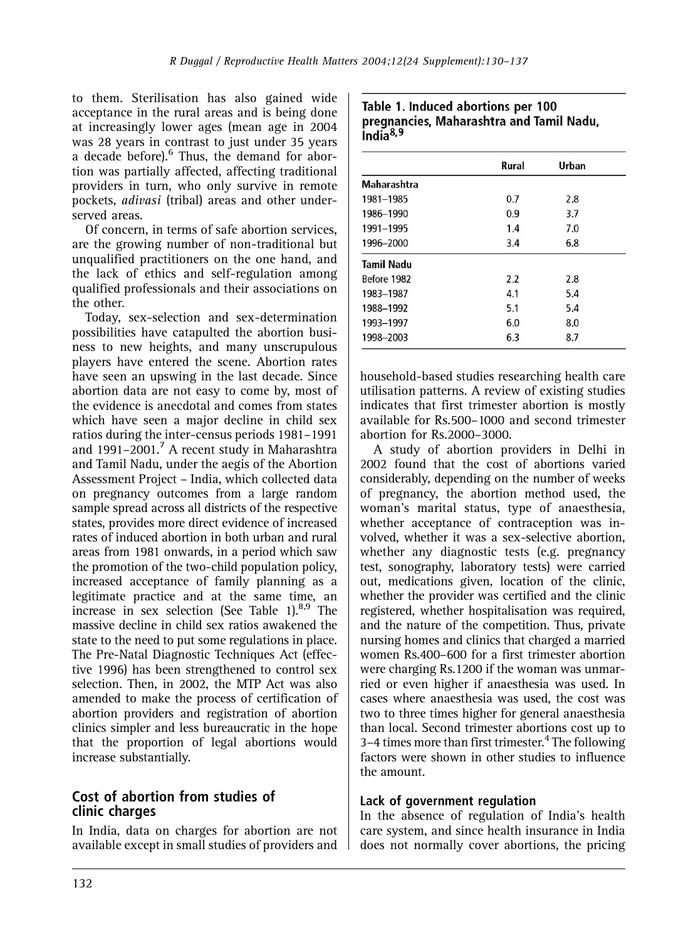to them. Sterilisation has also gained wide acceptance in the rural areas and is being done at increasingly lower ages (mean age in 2004 was 28 years in contrast to just under 35 years a decade before).<sup>6</sup> Thus, the demand for abortion was partially affected, affecting traditional providers in turn, who only survive in remote pockets, adivasi (tribal) areas and other underserved areas.

Of concern, in terms of safe abortion services, are the growing number of non-traditional but unqualified practitioners on the one hand, and the lack of ethics and self-regulation among qualified professionals and their associations on the other.

Today, sex-selection and sex-determination possibilities have catapulted the abortion business to new heights, and many unscrupulous players have entered the scene. Abortion rates have seen an upswing in the last decade. Since abortion data are not easy to come by, most of the evidence is anecdotal and comes from states which have seen a major decline in child sex ratios during the inter-census periods 1981–1991 and 1991–2001.<sup>7</sup> A recent study in Maharashtra and Tamil Nadu, under the aegis of the Abortion Assessment Project – India, which collected data on pregnancy outcomes from a large random sample spread across all districts of the respective states, provides more direct evidence of increased rates of induced abortion in both urban and rural areas from 1981 onwards, in a period which saw the promotion of the two-child population policy, increased acceptance of family planning as a legitimate practice and at the same time, an increase in sex selection (See Table 1).<sup>8,9</sup> The massive decline in child sex ratios awakened the state to the need to put some regulations in place. The Pre-Natal Diagnostic Techniques Act (effective 1996) has been strengthened to control sex selection. Then, in 2002, the MTP Act was also amended to make the process of certification of abortion providers and registration of abortion clinics simpler and less bureaucratic in the hope that the proportion of legal abortions would increase substantially.

## Cost of abortion from studies of clinic charges

In India, data on charges for abortion are not available except in small studies of providers and

### Table 1. Induced abortions per 100 pregnancies, Maharashtra and Tamil Nadu,  $India<sup>8,9</sup>$

|                   | Rural | Urban |
|-------------------|-------|-------|
| Maharashtra       |       |       |
| 1981-1985         | 0.7   | 2.8   |
| 1986-1990         | 0.9   | 3.7   |
| 1991-1995         | 1.4   | 7.0   |
| 1996-2000         | 3.4   | 6.8   |
| <b>Tamil Nadu</b> |       |       |
| Before 1982       | 2.2   | 2.8   |
| 1983-1987         | 4.1   | 5.4   |
| 1988-1992         | 5.1   | 5.4   |
| 1993-1997         | 6.0   | 8.0   |
| 1998-2003         | 6.3   | 8.7   |

household-based studies researching health care utilisation patterns. A review of existing studies indicates that first trimester abortion is mostly available for Rs.500–1000 and second trimester abortion for Rs.2000–3000.

A study of abortion providers in Delhi in 2002 found that the cost of abortions varied considerably, depending on the number of weeks of pregnancy, the abortion method used, the woman's marital status, type of anaesthesia, whether acceptance of contraception was involved, whether it was a sex-selective abortion, whether any diagnostic tests (e.g. pregnancy test, sonography, laboratory tests) were carried out, medications given, location of the clinic, whether the provider was certified and the clinic registered, whether hospitalisation was required, and the nature of the competition. Thus, private nursing homes and clinics that charged a married women Rs.400–600 for a first trimester abortion were charging Rs.1200 if the woman was unmarried or even higher if anaesthesia was used. In cases where anaesthesia was used, the cost was two to three times higher for general anaesthesia than local. Second trimester abortions cost up to 3–4 times more than first trimester. $4$  The following factors were shown in other studies to influence the amount.

## Lack of government regulation

In the absence of regulation of India's health care system, and since health insurance in India does not normally cover abortions, the pricing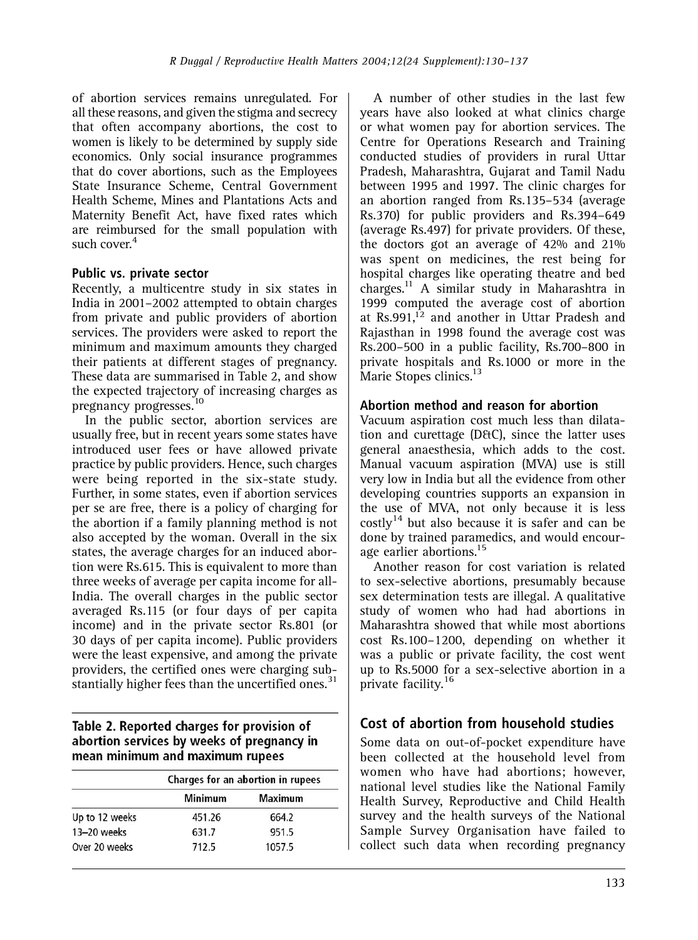of abortion services remains unregulated. For all these reasons, and given the stigma and secrecy that often accompany abortions, the cost to women is likely to be determined by supply side economics. Only social insurance programmes that do cover abortions, such as the Employees State Insurance Scheme, Central Government Health Scheme, Mines and Plantations Acts and Maternity Benefit Act, have fixed rates which are reimbursed for the small population with such cover.<sup>4</sup>

## Public vs. private sector

Recently, a multicentre study in six states in India in 2001–2002 attempted to obtain charges from private and public providers of abortion services. The providers were asked to report the minimum and maximum amounts they charged their patients at different stages of pregnancy. These data are summarised in Table 2, and show the expected trajectory of increasing charges as pregnancy progresses.<sup>10</sup>

In the public sector, abortion services are usually free, but in recent years some states have introduced user fees or have allowed private practice by public providers. Hence, such charges were being reported in the six-state study. Further, in some states, even if abortion services per se are free, there is a policy of charging for the abortion if a family planning method is not also accepted by the woman. Overall in the six states, the average charges for an induced abortion were Rs.615. This is equivalent to more than three weeks of average per capita income for all-India. The overall charges in the public sector averaged Rs.115 (or four days of per capita income) and in the private sector Rs.801 (or 30 days of per capita income). Public providers were the least expensive, and among the private providers, the certified ones were charging substantially higher fees than the uncertified ones.<sup>31</sup>

## Table 2. Reported charges for provision of abortion services by weeks of pregnancy in mean minimum and maximum rupees

|                | Charges for an abortion in rupees |                |  |
|----------------|-----------------------------------|----------------|--|
|                | Minimum                           | <b>Maximum</b> |  |
| Up to 12 weeks | 451.26                            | 664.2          |  |
| 13-20 weeks    | 631.7                             | 951.5          |  |
| Over 20 weeks  | 712.5                             | 1057.5         |  |

A number of other studies in the last few years have also looked at what clinics charge or what women pay for abortion services. The Centre for Operations Research and Training conducted studies of providers in rural Uttar Pradesh, Maharashtra, Gujarat and Tamil Nadu between 1995 and 1997. The clinic charges for an abortion ranged from Rs.135–534 (average Rs.370) for public providers and Rs.394–649 (average Rs.497) for private providers. Of these, the doctors got an average of 42% and 21% was spent on medicines, the rest being for hospital charges like operating theatre and bed charges.11 A similar study in Maharashtra in 1999 computed the average cost of abortion at Rs.991, $12$  and another in Uttar Pradesh and Rajasthan in 1998 found the average cost was Rs.200–500 in a public facility, Rs.700–800 in private hospitals and Rs.1000 or more in the Marie Stopes clinics.<sup>13</sup>

## Abortion method and reason for abortion

Vacuum aspiration cost much less than dilatation and curettage (D&C), since the latter uses general anaesthesia, which adds to the cost. Manual vacuum aspiration (MVA) use is still very low in India but all the evidence from other developing countries supports an expansion in the use of MVA, not only because it is less costly<sup>14</sup> but also because it is safer and can be done by trained paramedics, and would encourage earlier abortions.<sup>15</sup>

Another reason for cost variation is related to sex-selective abortions, presumably because sex determination tests are illegal. A qualitative study of women who had had abortions in Maharashtra showed that while most abortions cost Rs.100–1200, depending on whether it was a public or private facility, the cost went up to Rs.5000 for a sex-selective abortion in a private facility.<sup>16</sup>

# Cost of abortion from household studies

Some data on out-of-pocket expenditure have been collected at the household level from women who have had abortions; however, national level studies like the National Family Health Survey, Reproductive and Child Health survey and the health surveys of the National Sample Survey Organisation have failed to collect such data when recording pregnancy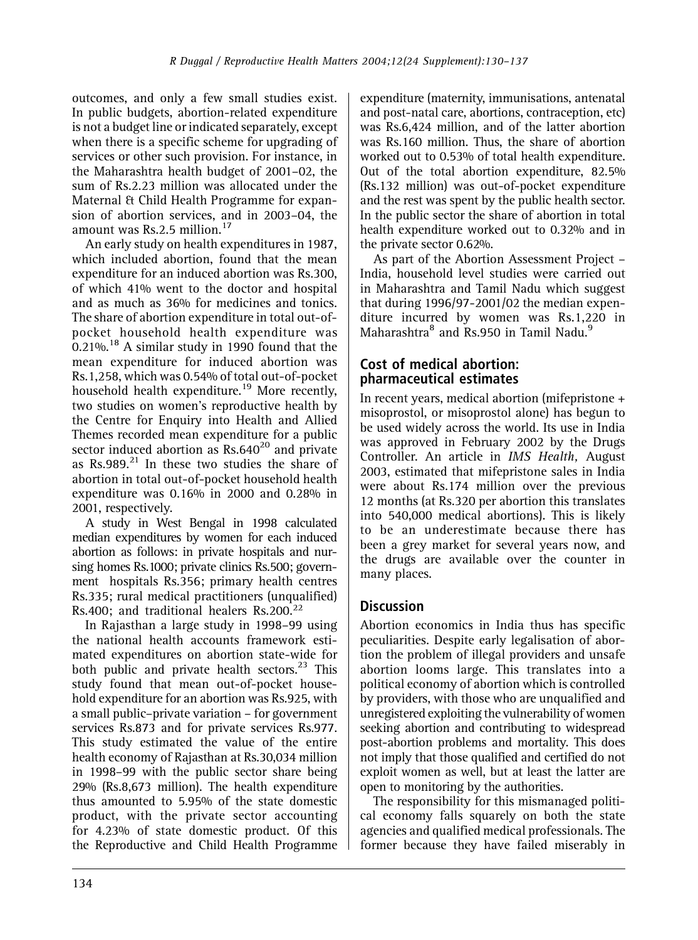outcomes, and only a few small studies exist. In public budgets, abortion-related expenditure is not a budget line or indicated separately, except when there is a specific scheme for upgrading of services or other such provision. For instance, in the Maharashtra health budget of 2001–02, the sum of Rs.2.23 million was allocated under the Maternal & Child Health Programme for expansion of abortion services, and in 2003–04, the amount was Rs.2.5 million.<sup>17</sup>

An early study on health expenditures in 1987, which included abortion, found that the mean expenditure for an induced abortion was Rs.300, of which 41% went to the doctor and hospital and as much as 36% for medicines and tonics. The share of abortion expenditure in total out-ofpocket household health expenditure was  $0.21\%$ .<sup>18</sup> A similar study in 1990 found that the mean expenditure for induced abortion was Rs.1,258, which was 0.54% of total out-of-pocket household health expenditure.<sup>19</sup> More recently, two studies on women's reproductive health by the Centre for Enquiry into Health and Allied Themes recorded mean expenditure for a public sector induced abortion as  $\text{Rs.}640^{20}$  and private as Rs.989. $^{21}$  In these two studies the share of abortion in total out-of-pocket household health expenditure was  $0.16\%$  in 2000 and 0.28% in 2001, respectively.

A study in West Bengal in 1998 calculated median expenditures by women for each induced abortion as follows: in private hospitals and nursing homes Rs.1000; private clinics Rs.500; government hospitals Rs.356; primary health centres Rs.335; rural medical practitioners (unqualified) Rs.400; and traditional healers  $Rs.200.^{22}$ 

In Rajasthan a large study in 1998–99 using the national health accounts framework estimated expenditures on abortion state-wide for both public and private health sectors.<sup>23</sup> This study found that mean out-of-pocket household expenditure for an abortion was Rs.925, with a small public–private variation – for government services Rs.873 and for private services Rs.977. This study estimated the value of the entire health economy of Rajasthan at Rs.30,034 million in 1998–99 with the public sector share being 29% (Rs.8,673 million). The health expenditure thus amounted to 5.95% of the state domestic product, with the private sector accounting for 4.23% of state domestic product. Of this the Reproductive and Child Health Programme

expenditure (maternity, immunisations, antenatal and post-natal care, abortions, contraception, etc) was Rs.6,424 million, and of the latter abortion was Rs.160 million. Thus, the share of abortion worked out to 0.53% of total health expenditure. Out of the total abortion expenditure, 82.5% (Rs.132 million) was out-of-pocket expenditure and the rest was spent by the public health sector. In the public sector the share of abortion in total health expenditure worked out to 0.32% and in the private sector 0.62%.

As part of the Abortion Assessment Project – India, household level studies were carried out in Maharashtra and Tamil Nadu which suggest that during 1996/97-2001/02 the median expenditure incurred by women was Rs.1,220 in Maharashtra<sup>8</sup> and Rs.950 in Tamil Nadu.<sup>9</sup>

## Cost of medical abortion: pharmaceutical estimates

In recent years, medical abortion (mifepristone + misoprostol, or misoprostol alone) has begun to be used widely across the world. Its use in India was approved in February 2002 by the Drugs Controller. An article in IMS Health, August 2003, estimated that mifepristone sales in India were about Rs.174 million over the previous 12 months (at Rs.320 per abortion this translates into 540,000 medical abortions). This is likely to be an underestimate because there has been a grey market for several years now, and the drugs are available over the counter in many places.

## **Discussion**

Abortion economics in India thus has specific peculiarities. Despite early legalisation of abortion the problem of illegal providers and unsafe abortion looms large. This translates into a political economy of abortion which is controlled by providers, with those who are unqualified and unregistered exploiting the vulnerability of women seeking abortion and contributing to widespread post-abortion problems and mortality. This does not imply that those qualified and certified do not exploit women as well, but at least the latter are open to monitoring by the authorities.

The responsibility for this mismanaged political economy falls squarely on both the state agencies and qualified medical professionals. The former because they have failed miserably in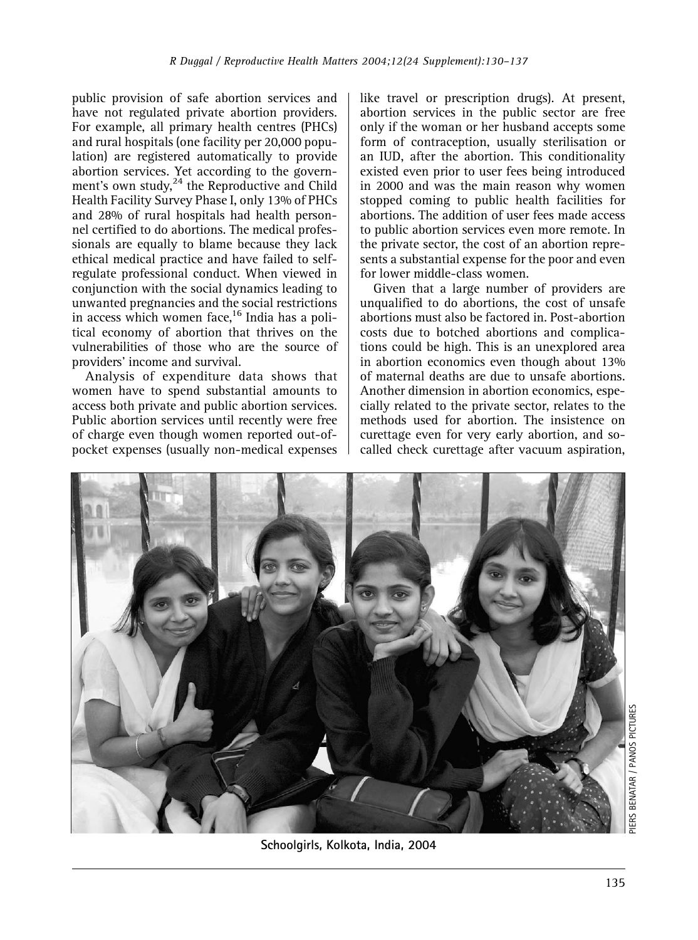public provision of safe abortion services and have not regulated private abortion providers. For example, all primary health centres (PHCs) and rural hospitals (one facility per 20,000 population) are registered automatically to provide abortion services. Yet according to the government's own study, $^{24}$  the Reproductive and Child Health Facility Survey Phase I, only 13% of PHCs and 28% of rural hospitals had health personnel certified to do abortions. The medical professionals are equally to blame because they lack ethical medical practice and have failed to selfregulate professional conduct. When viewed in conjunction with the social dynamics leading to unwanted pregnancies and the social restrictions in access which women face,<sup>16</sup> India has a political economy of abortion that thrives on the vulnerabilities of those who are the source of providers' income and survival.

Analysis of expenditure data shows that women have to spend substantial amounts to access both private and public abortion services. Public abortion services until recently were free of charge even though women reported out-ofpocket expenses (usually non-medical expenses like travel or prescription drugs). At present, abortion services in the public sector are free only if the woman or her husband accepts some form of contraception, usually sterilisation or an IUD, after the abortion. This conditionality existed even prior to user fees being introduced in 2000 and was the main reason why women stopped coming to public health facilities for abortions. The addition of user fees made access to public abortion services even more remote. In the private sector, the cost of an abortion represents a substantial expense for the poor and even for lower middle-class women.

Given that a large number of providers are unqualified to do abortions, the cost of unsafe abortions must also be factored in. Post-abortion costs due to botched abortions and complications could be high. This is an unexplored area in abortion economics even though about 13% of maternal deaths are due to unsafe abortions. Another dimension in abortion economics, especially related to the private sector, relates to the methods used for abortion. The insistence on curettage even for very early abortion, and socalled check curettage after vacuum aspiration,



Schoolgirls, Kolkota, India, 2004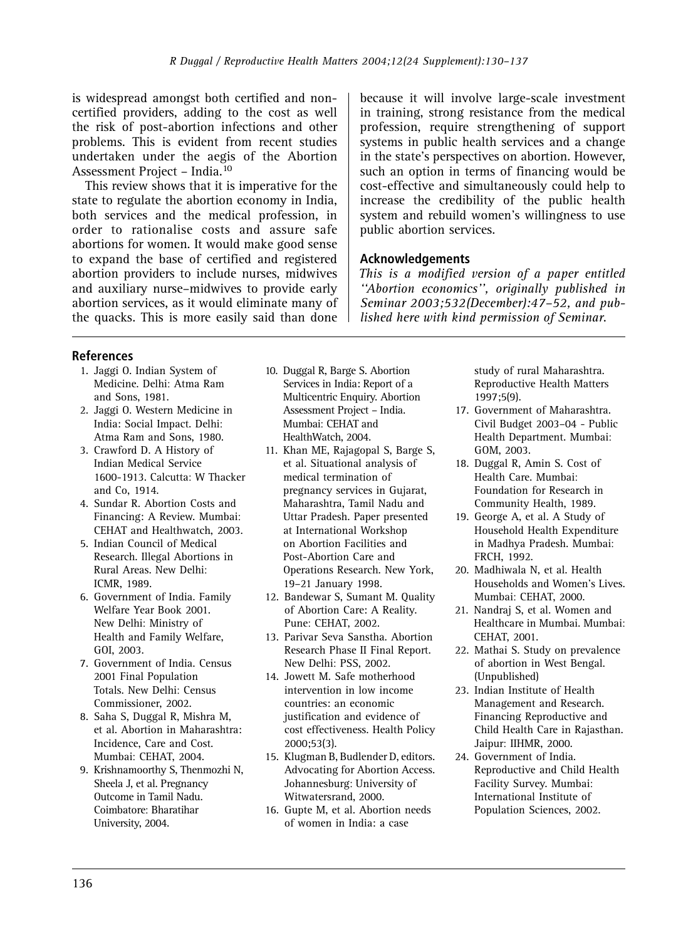is widespread amongst both certified and noncertified providers, adding to the cost as well the risk of post-abortion infections and other problems. This is evident from recent studies undertaken under the aegis of the Abortion Assessment Project - India.<sup>10</sup>

This review shows that it is imperative for the state to regulate the abortion economy in India, both services and the medical profession, in order to rationalise costs and assure safe abortions for women. It would make good sense to expand the base of certified and registered abortion providers to include nurses, midwives and auxiliary nurse–midwives to provide early abortion services, as it would eliminate many of the quacks. This is more easily said than done

because it will involve large-scale investment in training, strong resistance from the medical profession, require strengthening of support systems in public health services and a change in the state's perspectives on abortion. However, such an option in terms of financing would be cost-effective and simultaneously could help to increase the credibility of the public health system and rebuild women's willingness to use public abortion services.

## Acknowledgements

This is a modified version of a paper entitled ''Abortion economics'', originally published in Seminar 2003;532(December):47–52, and published here with kind permission of Seminar.

## References

- 1. Jaggi O. Indian System of Medicine. Delhi: Atma Ram and Sons, 1981.
- 2. Jaggi O. Western Medicine in India: Social Impact. Delhi<sup>1</sup> Atma Ram and Sons, 1980.
- 3. Crawford D. A History of Indian Medical Service 1600-1913. Calcutta: W Thacker and Co, 1914.
- 4. Sundar R. Abortion Costs and Financing: A Review. Mumbai: CEHAT and Healthwatch, 2003.
- 5. Indian Council of Medical Research. Illegal Abortions in Rural Areas. New Delhi: ICMR, 1989.
- 6. Government of India. Family Welfare Year Book 2001. New Delhi: Ministry of Health and Family Welfare, GOI, 2003.
- 7. Government of India. Census 2001 Final Population Totals. New Delhi: Census Commissioner, 2002.
- 8. Saha S, Duggal R, Mishra M, et al. Abortion in Maharashtra: Incidence, Care and Cost. Mumbai: CEHAT, 2004.
- 9. Krishnamoorthy S, Thenmozhi N, Sheela J, et al. Pregnancy Outcome in Tamil Nadu. Coimbatore: Bharatihar University, 2004.
- 10. Duggal R, Barge S. Abortion Services in India: Report of a Multicentric Enquiry. Abortion Assessment Project – India. Mumbai: CEHAT and HealthWatch, 2004.
- 11. Khan ME, Rajagopal S, Barge S, et al. Situational analysis of medical termination of pregnancy services in Gujarat, Maharashtra, Tamil Nadu and Uttar Pradesh. Paper presented at International Workshop on Abortion Facilities and Post-Abortion Care and Operations Research. New York, 19–21 January 1998.
- 12. Bandewar S, Sumant M. Quality of Abortion Care: A Reality. Pune: CEHAT, 2002.
- 13. Parivar Seva Sanstha. Abortion Research Phase II Final Report. New Delhi: PSS, 2002.
- 14. Jowett M. Safe motherhood intervention in low income countries: an economic justification and evidence of cost effectiveness. Health Policy 2000;53(3).
- 15. Klugman B, Budlender D, editors. Advocating for Abortion Access. Johannesburg: University of Witwatersrand, 2000.
- 16. Gupte M, et al. Abortion needs of women in India: a case

study of rural Maharashtra. Reproductive Health Matters 1997;5(9).

- 17. Government of Maharashtra. Civil Budget 2003–04 - Public Health Department. Mumbai: GOM, 2003.
- 18. Duggal R, Amin S. Cost of Health Care. Mumbai: Foundation for Research in Community Health, 1989.
- 19. George A, et al. A Study of Household Health Expenditure in Madhya Pradesh. Mumbai: FRCH, 1992.
- 20. Madhiwala N, et al. Health Households and Women's Lives. Mumbai: CEHAT, 2000.
- 21. Nandraj S, et al. Women and Healthcare in Mumbai. Mumbai: CEHAT, 2001.
- 22. Mathai S. Study on prevalence of abortion in West Bengal. (Unpublished)
- 23. Indian Institute of Health Management and Research. Financing Reproductive and Child Health Care in Rajasthan. Jaipur: IIHMR, 2000.
- 24. Government of India. Reproductive and Child Health Facility Survey. Mumbai: International Institute of Population Sciences, 2002.